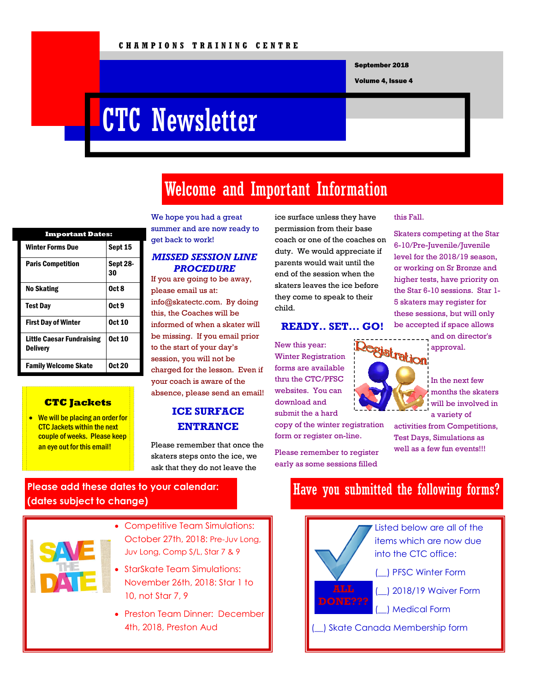September 2018

Volume 4, Issue 4

# CTC Newsletter

# Welcome and Important Information

| <b>Important Dates:</b>                             |                |
|-----------------------------------------------------|----------------|
| Winter Forms Due                                    | Sept 15        |
| <b>Paris Competition</b>                            | Sept 28-<br>30 |
| No Skating                                          | 0ct 8          |
| <b>Test Day</b>                                     | Oct 9          |
| <b>First Day of Winter</b>                          | <b>Oct 10</b>  |
| <b>Little Caesar Fundraising</b><br><b>Delivery</b> | <b>Oct 10</b>  |
| <b>Family Welcome Skate</b>                         | <b>Oct 20</b>  |

#### **CTC Jackets**

• We will be placing an order for CTC Jackets within the next couple of weeks. Please keep an eye out for this email!

#### We hope you had a great summer and are now ready to get back to work!

### *MISSED SESSION LINE PROCEDURE*

If you are going to be away, please email us at: info@skatectc.com. By doing this, the Coaches will be informed of when a skater will be missing. If you email prior to the start of your day's session, you will not be charged for the lesson. Even if your coach is aware of the absence, please send an email!

### **ICE SURFACE ENTRANCE**

Please remember that once the skaters steps onto the ice, we ask that they do not leave the

### ice surface unless they have permission from their base coach or one of the coaches on duty. We would appreciate if parents would wait until the end of the session when the skaters leaves the ice before they come to speak to their child.

### **READY.. SET... GO!**

New this year: Winter Registration forms are available thru the CTC/PFSC websites. You can download and submit the a hard

copy of the winter registration form or register on-line.

Please remember to register early as some sessions filled

#### this Fall.

Skaters competing at the Star 6-10/Pre-Juvenile/Juvenile level for the 2018/19 season, or working on Sr Bronze and higher tests, have priority on the Star 6-10 sessions. Star 1- 5 skaters may register for these sessions, but will only be accepted if space allows and on director's



In the next few months the skaters will be involved in a variety of

activities from Competitions, Test Days, Simulations as well as a few fun events!!!

### **Please add these dates to your calendar: (dates subject to change)**



- Competitive Team Simulations: October 27th, 2018: Pre-Juv Long, Juv Long, Comp S/L, Star 7 & 9
- StarSkate Team Simulations: November 26th, 2018: Star 1 to 10, not Star 7, 9
- Preston Team Dinner: December 4th, 2018, Preston Aud

### Have you submitted the following forms?